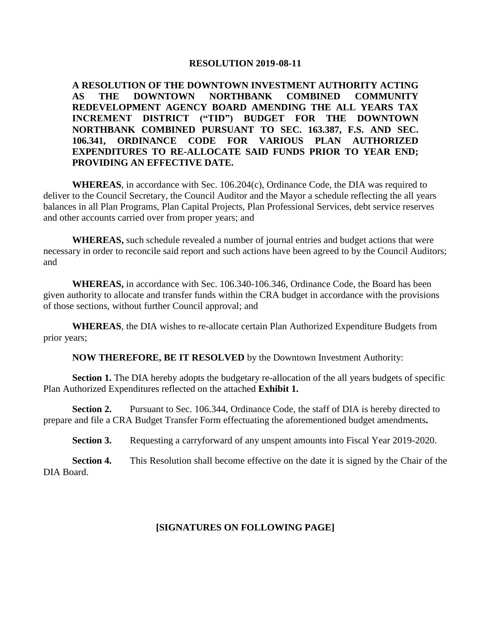## **RESOLUTION 2019-08-11**

**A RESOLUTION OF THE DOWNTOWN INVESTMENT AUTHORITY ACTING AS THE DOWNTOWN NORTHBANK COMBINED COMMUNITY REDEVELOPMENT AGENCY BOARD AMENDING THE ALL YEARS TAX INCREMENT DISTRICT ("TID") BUDGET FOR THE DOWNTOWN NORTHBANK COMBINED PURSUANT TO SEC. 163.387, F.S. AND SEC. 106.341, ORDINANCE CODE FOR VARIOUS PLAN AUTHORIZED EXPENDITURES TO RE-ALLOCATE SAID FUNDS PRIOR TO YEAR END; PROVIDING AN EFFECTIVE DATE.**

**WHEREAS**, in accordance with Sec. 106.204(c), Ordinance Code, the DIA was required to deliver to the Council Secretary, the Council Auditor and the Mayor a schedule reflecting the all years balances in all Plan Programs, Plan Capital Projects, Plan Professional Services, debt service reserves and other accounts carried over from proper years; and

**WHEREAS,** such schedule revealed a number of journal entries and budget actions that were necessary in order to reconcile said report and such actions have been agreed to by the Council Auditors; and

**WHEREAS,** in accordance with Sec. 106.340-106.346, Ordinance Code, the Board has been given authority to allocate and transfer funds within the CRA budget in accordance with the provisions of those sections, without further Council approval; and

**WHEREAS**, the DIA wishes to re-allocate certain Plan Authorized Expenditure Budgets from prior years;

**NOW THEREFORE, BE IT RESOLVED** by the Downtown Investment Authority:

**Section 1.** The DIA hereby adopts the budgetary re-allocation of the all years budgets of specific Plan Authorized Expenditures reflected on the attached **Exhibit 1.**

Section 2. Pursuant to Sec. 106.344, Ordinance Code, the staff of DIA is hereby directed to prepare and file a CRA Budget Transfer Form effectuating the aforementioned budget amendments**.**

**Section 3.** Requesting a carryforward of any unspent amounts into Fiscal Year 2019-2020.

**Section 4.** This Resolution shall become effective on the date it is signed by the Chair of the DIA Board.

## **[SIGNATURES ON FOLLOWING PAGE]**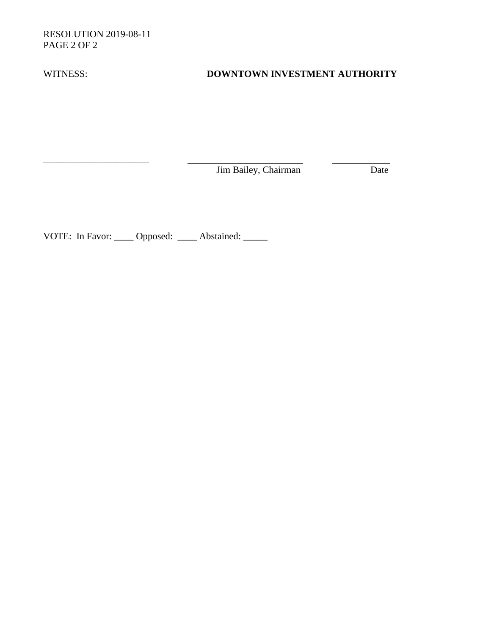RESOLUTION 2019-08-11 PAGE 2 OF 2

\_\_\_\_\_\_\_\_\_\_\_\_\_\_\_\_\_\_\_\_\_\_

## WITNESS: **DOWNTOWN INVESTMENT AUTHORITY**

Jim Bailey, Chairman Date

VOTE: In Favor: \_\_\_\_\_ Opposed: \_\_\_\_\_ Abstained: \_\_\_\_\_